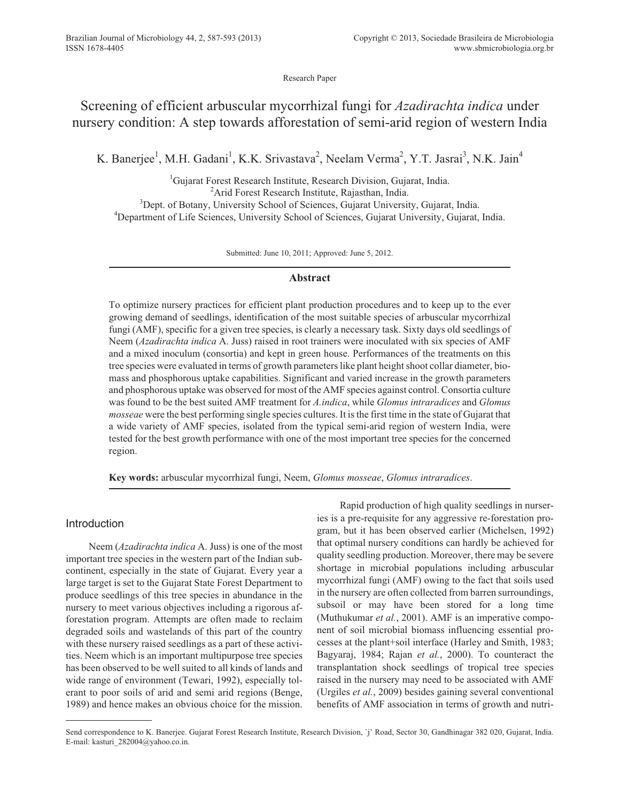Research Paper

# Screening of efficient arbuscular mycorrhizal fungi for *Azadirachta indica* under nursery condition: A step towards afforestation of semi-arid region of western India

K. Banerjee<sup>1</sup>, M.H. Gadani<sup>1</sup>, K.K. Srivastava<sup>2</sup>, Neelam Verma<sup>2</sup>, Y.T. Jasrai<sup>3</sup>, N.K. Jain<sup>4</sup>

<sup>1</sup>Gujarat Forest Research Institute, Research Division, Gujarat, India. <sup>2</sup> Arid Forest Research Institute, Rajasthan, India. <sup>3</sup>Dept. of Botany, University School of Sciences, Gujarat University, Gujarat, India. <sup>4</sup>Department of Life Sciences, University School of Sciences, Gujarat University, Gujarat, India.

Submitted: June 10, 2011; Approved: June 5, 2012.

# **Abstract**

To optimize nursery practices for efficient plant production procedures and to keep up to the ever growing demand of seedlings, identification of the most suitable species of arbuscular mycorrhizal fungi (AMF), specific for a given tree species, is clearly a necessary task. Sixty days old seedlings of Neem (*Azadirachta indica* A. Juss) raised in root trainers were inoculated with six species of AMF and a mixed inoculum (consortia) and kept in green house. Performances of the treatments on this tree species were evaluated in terms of growth parameters like plant height shoot collar diameter, biomass and phosphorous uptake capabilities. Significant and varied increase in the growth parameters and phosphorous uptake was observed for most of the AMF species against control. Consortia culture was found to be the best suited AMF treatment for *A.indica*, while *Glomus intraradices* and *Glomus mosseae* were the best performing single species cultures. It is the first time in the state of Gujarat that a wide variety of AMF species, isolated from the typical semi-arid region of western India, were tested for the best growth performance with one of the most important tree species for the concerned region.

**Key words:** arbuscular mycorrhizal fungi, Neem, *Glomus mosseae*, *Glomus intraradices*.

# Introduction

Neem (*Azadirachta indica* A. Juss) is one of the most important tree species in the western part of the Indian subcontinent, especially in the state of Gujarat. Every year a large target is set to the Gujarat State Forest Department to produce seedlings of this tree species in abundance in the nursery to meet various objectives including a rigorous afforestation program. Attempts are often made to reclaim degraded soils and wastelands of this part of the country with these nursery raised seedlings as a part of these activities. Neem which is an important multipurpose tree species has been observed to be well suited to all kinds of lands and wide range of environment (Tewari, 1992), especially tolerant to poor soils of arid and semi arid regions (Benge, 1989) and hence makes an obvious choice for the mission.

Rapid production of high quality seedlings in nurseries is a pre-requisite for any aggressive re-forestation program, but it has been observed earlier (Michelsen, 1992) that optimal nursery conditions can hardly be achieved for quality seedling production. Moreover, there may be severe shortage in microbial populations including arbuscular mycorrhizal fungi (AMF) owing to the fact that soils used in the nursery are often collected from barren surroundings, subsoil or may have been stored for a long time (Muthukumar *et al.*, 2001). AMF is an imperative component of soil microbial biomass influencing essential processes at the plant+soil interface (Harley and Smith, 1983; Bagyaraj, 1984; Rajan *et al.*, 2000). To counteract the transplantation shock seedlings of tropical tree species raised in the nursery may need to be associated with AMF (Urgiles *et al.*, 2009) besides gaining several conventional benefits of AMF association in terms of growth and nutri-

Send correspondence to K. Banerjee. Gujarat Forest Research Institute, Research Division, `j' Road, Sector 30, Gandhinagar 382 020, Gujarat, India. E-mail: kasturi\_282004@yahoo.co.in.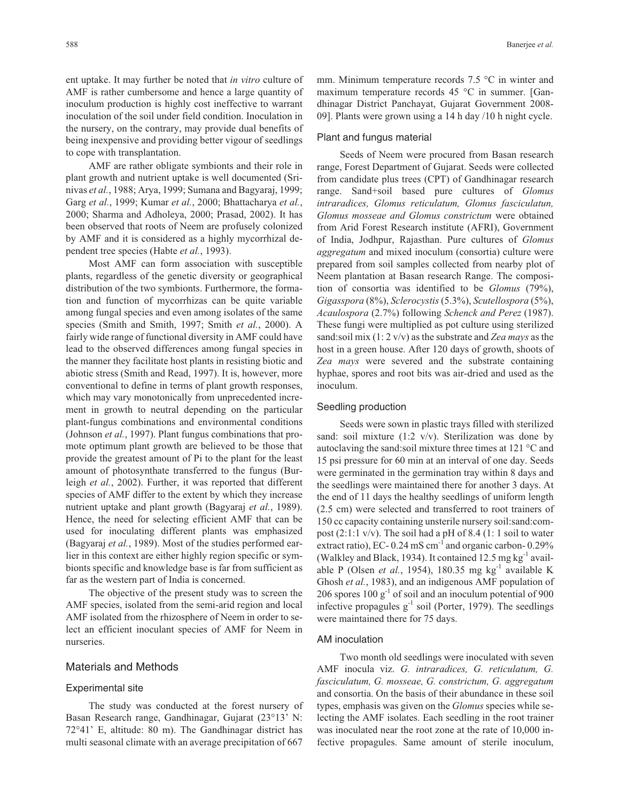ent uptake. It may further be noted that *in vitro* culture of AMF is rather cumbersome and hence a large quantity of inoculum production is highly cost ineffective to warrant inoculation of the soil under field condition. Inoculation in the nursery, on the contrary, may provide dual benefits of being inexpensive and providing better vigour of seedlings to cope with transplantation.

AMF are rather obligate symbionts and their role in plant growth and nutrient uptake is well documented (Srinivas *et al.*, 1988; Arya, 1999; Sumana and Bagyaraj, 1999; Garg *et al.*, 1999; Kumar *et al.*, 2000; Bhattacharya *et al.*, 2000; Sharma and Adholeya, 2000; Prasad, 2002). It has been observed that roots of Neem are profusely colonized by AMF and it is considered as a highly mycorrhizal dependent tree species (Habte *et al.*, 1993).

Most AMF can form association with susceptible plants, regardless of the genetic diversity or geographical distribution of the two symbionts. Furthermore, the formation and function of mycorrhizas can be quite variable among fungal species and even among isolates of the same species (Smith and Smith, 1997; Smith *et al.*, 2000). A fairly wide range of functional diversity in AMF could have lead to the observed differences among fungal species in the manner they facilitate host plants in resisting biotic and abiotic stress (Smith and Read, 1997). It is, however, more conventional to define in terms of plant growth responses, which may vary monotonically from unprecedented increment in growth to neutral depending on the particular plant-fungus combinations and environmental conditions (Johnson *et al.*, 1997). Plant fungus combinations that promote optimum plant growth are believed to be those that provide the greatest amount of Pi to the plant for the least amount of photosynthate transferred to the fungus (Burleigh *et al.*, 2002). Further, it was reported that different species of AMF differ to the extent by which they increase nutrient uptake and plant growth (Bagyaraj *et al.*, 1989). Hence, the need for selecting efficient AMF that can be used for inoculating different plants was emphasized (Bagyaraj *et al.*, 1989). Most of the studies performed earlier in this context are either highly region specific or symbionts specific and knowledge base is far from sufficient as far as the western part of India is concerned.

The objective of the present study was to screen the AMF species, isolated from the semi-arid region and local AMF isolated from the rhizosphere of Neem in order to select an efficient inoculant species of AMF for Neem in nurseries.

#### Materials and Methods

#### Experimental site

The study was conducted at the forest nursery of Basan Research range, Gandhinagar, Gujarat (23°13' N: 72°41' E, altitude: 80 m). The Gandhinagar district has multi seasonal climate with an average precipitation of 667

mm. Minimum temperature records 7.5 °C in winter and maximum temperature records 45 °C in summer. [Gandhinagar District Panchayat, Gujarat Government 2008- 09]. Plants were grown using a 14 h day /10 h night cycle.

#### Plant and fungus material

Seeds of Neem were procured from Basan research range, Forest Department of Gujarat. Seeds were collected from candidate plus trees (CPT) of Gandhinagar research range. Sand+soil based pure cultures of *Glomus intraradices, Glomus reticulatum, Glomus fasciculatun, Glomus mosseae and Glomus constrictum* were obtained from Arid Forest Research institute (AFRI), Government of India, Jodhpur, Rajasthan. Pure cultures of *Glomus aggregatum* and mixed inoculum (consortia) culture were prepared from soil samples collected from nearby plot of Neem plantation at Basan research Range. The composition of consortia was identified to be *Glomus* (79%), *Gigasspora* (8%), *Sclerocystis*(5.3%), *Scutellospora* (5%), *Acaulospora* (2.7%) following *Schenck and Perez* (1987). These fungi were multiplied as pot culture using sterilized sand:soil mix (1: 2 v/v) as the substrate and *Zea mays* as the host in a green house. After 120 days of growth, shoots of *Zea mays* were severed and the substrate containing hyphae, spores and root bits was air-dried and used as the inoculum.

# Seedling production

Seeds were sown in plastic trays filled with sterilized sand: soil mixture  $(1:2 \text{ v/v})$ . Sterilization was done by autoclaving the sand:soil mixture three times at 121 °C and 15 psi pressure for 60 min at an interval of one day. Seeds were germinated in the germination tray within 8 days and the seedlings were maintained there for another 3 days. At the end of 11 days the healthy seedlings of uniform length (2.5 cm) were selected and transferred to root trainers of 150 cc capacity containing unsterile nursery soil:sand:compost (2:1:1 v/v). The soil had a pH of 8.4 (1: 1 soil to water extract ratio), EC- 0.24 mS cm<sup>-1</sup> and organic carbon- 0.29% (Walkley and Black, 1934). It contained 12.5 mg kg<sup>-1</sup> available P (Olsen *et al.*, 1954), 180.35 mg kg<sup>-1</sup> available K Ghosh *et al.*, 1983), and an indigenous AMF population of 206 spores  $100 \text{ g}^{-1}$  of soil and an inoculum potential of 900 infective propagules  $g^{-1}$  soil (Porter, 1979). The seedlings were maintained there for 75 days.

## AM inoculation

Two month old seedlings were inoculated with seven AMF inocula viz. *G. intraradices, G. reticulatum, G. fasciculatum, G. mosseae, G. constrictum, G. aggregatum* and consortia. On the basis of their abundance in these soil types, emphasis was given on the *Glomus* species while selecting the AMF isolates. Each seedling in the root trainer was inoculated near the root zone at the rate of 10,000 infective propagules. Same amount of sterile inoculum,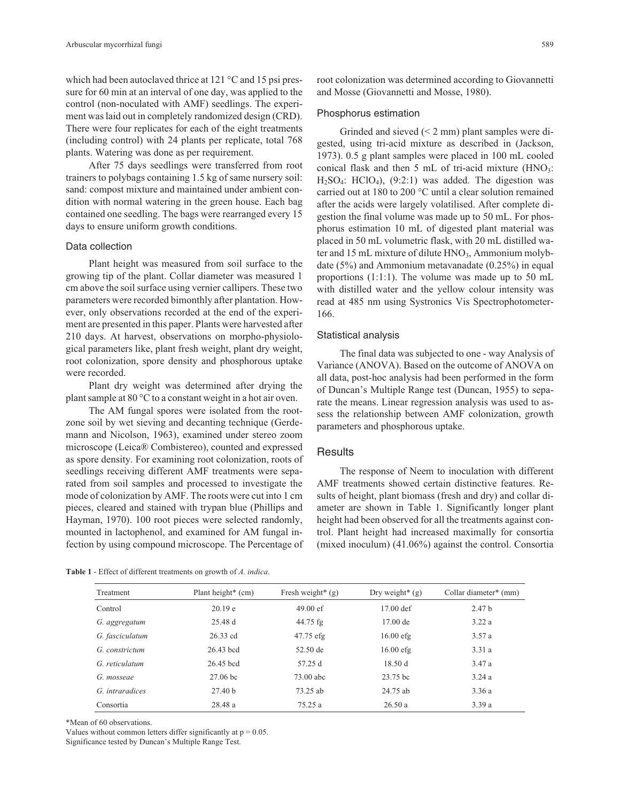which had been autoclaved thrice at  $121 \degree C$  and  $15$  psi pressure for 60 min at an interval of one day, was applied to the control (non-noculated with AMF) seedlings. The experiment was laid out in completely randomized design (CRD). There were four replicates for each of the eight treatments (including control) with 24 plants per replicate, total 768 plants. Watering was done as per requirement.

After 75 days seedlings were transferred from root trainers to polybags containing 1.5 kg of same nursery soil: sand: compost mixture and maintained under ambient condition with normal watering in the green house. Each bag contained one seedling. The bags were rearranged every 15 days to ensure uniform growth conditions.

#### Data collection

Plant height was measured from soil surface to the growing tip of the plant. Collar diameter was measured 1 cm above the soil surface using vernier callipers. These two parameters were recorded bimonthly after plantation. However, only observations recorded at the end of the experiment are presented in this paper. Plants were harvested after 210 days. At harvest, observations on morpho-physiological parameters like, plant fresh weight, plant dry weight, root colonization, spore density and phosphorous uptake were recorded.

Plant dry weight was determined after drying the plant sample at 80 °C to a constant weight in a hot air oven.

The AM fungal spores were isolated from the rootzone soil by wet sieving and decanting technique (Gerdemann and Nicolson, 1963), examined under stereo zoom microscope (Leica® Combistereo), counted and expressed as spore density. For examining root colonization, roots of seedlings receiving different AMF treatments were separated from soil samples and processed to investigate the mode of colonization by AMF. The roots were cut into 1 cm pieces, cleared and stained with trypan blue (Phillips and Hayman, 1970). 100 root pieces were selected randomly, mounted in lactophenol, and examined for AM fungal infection by using compound microscope. The Percentage of root colonization was determined according to Giovannetti and Mosse (Giovannetti and Mosse, 1980).

#### Phosphorus estimation

Grinded and sieved (< 2 mm) plant samples were digested, using tri-acid mixture as described in (Jackson, 1973). 0.5 g plant samples were placed in 100 mL cooled conical flask and then 5 mL of tri-acid mixture  $(HNO<sub>3</sub>:$  $H<sub>2</sub>SO<sub>4</sub>$ : HClO<sub>4</sub>), (9:2:1) was added. The digestion was carried out at 180 to 200 °C until a clear solution remained after the acids were largely volatilised. After complete digestion the final volume was made up to 50 mL. For phosphorus estimation 10 mL of digested plant material was placed in 50 mL volumetric flask, with 20 mL distilled water and 15 mL mixture of dilute  $HNO<sub>3</sub>$ , Ammonium molybdate (5%) and Ammonium metavanadate (0.25%) in equal proportions (1:1:1). The volume was made up to 50 mL with distilled water and the yellow colour intensity was read at 485 nm using Systronics Vis Spectrophotometer-166.

# Statistical analysis

The final data was subjected to one - way Analysis of Variance (ANOVA). Based on the outcome of ANOVA on all data, post-hoc analysis had been performed in the form of Duncan's Multiple Range test (Duncan, 1955) to separate the means. Linear regression analysis was used to assess the relationship between AMF colonization, growth parameters and phosphorous uptake.

# **Results**

The response of Neem to inoculation with different AMF treatments showed certain distinctive features. Results of height, plant biomass (fresh and dry) and collar diameter are shown in Table 1. Significantly longer plant height had been observed for all the treatments against control. Plant height had increased maximally for consortia (mixed inoculum) (41.06%) against the control. Consortia

**Table 1** - Effect of different treatments on growth of *A. indica*.

| Treatment       | Plant height $*$ (cm) | Fresh weight <sup>*</sup> $(g)$ | Dry weight <sup>*</sup> $(g)$ | Collar diameter* (mm) |
|-----------------|-----------------------|---------------------------------|-------------------------------|-----------------------|
| Control         | 20.19 e               | $49.00 \text{ e}$ f             | $17.00$ def                   | 2.47 <sub>b</sub>     |
| G. aggregatum   | 25.48d                | $44.75$ fg                      | $17.00$ de                    | 3.22a                 |
| G. fasciculatum | $26.33$ cd            | 47.75 efg                       | $16.00$ efg                   | 3.57a                 |
| G. constrictum  | 26.43 bcd             | $52.50$ de                      | $16.00$ efg                   | 3.31a                 |
| G. reticulatum  | 26.45 bcd             | 57.25 d                         | 18.50d                        | 3.47 a                |
| G. mosseae      | $27.06$ bc            | 73.00 abc                       | 23.75 bc                      | 3.24a                 |
| G. intraradices | 27.40 <sub>b</sub>    | 73.25 ab                        | 24.75 ab                      | 3.36a                 |
| Consortia       | 28.48 a               | 75.25a                          | 26.50a                        | 3.39a                 |

\*Mean of 60 observations.

Values without common letters differ significantly at  $p = 0.05$ .

Significance tested by Duncan's Multiple Range Test.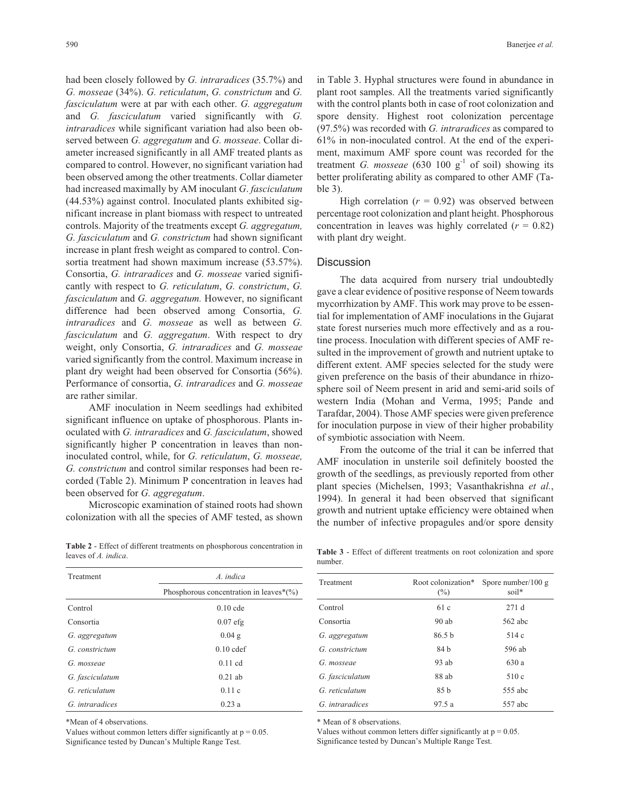had been closely followed by *G. intraradices* (35.7%) and *G. mosseae* (34%). *G. reticulatum*, *G. constrictum* and *G. fasciculatum* were at par with each other. *G. aggregatum* and *G. fasciculatum* varied significantly with *G. intraradices* while significant variation had also been observed between *G. aggregatum* and *G. mosseae*. Collar diameter increased significantly in all AMF treated plants as compared to control. However, no significant variation had been observed among the other treatments. Collar diameter had increased maximally by AM inoculant *G*. *fasciculatum* (44.53%) against control. Inoculated plants exhibited significant increase in plant biomass with respect to untreated controls. Majority of the treatments except *G. aggregatum, G. fasciculatum* and *G. constrictum* had shown significant increase in plant fresh weight as compared to control. Consortia treatment had shown maximum increase (53.57%). Consortia, *G. intraradices* and *G. mosseae* varied significantly with respect to *G. reticulatum*, *G. constrictum*, *G. fasciculatum* and *G. aggregatum.* However, no significant difference had been observed among Consortia, *G. intraradices* and *G. mosseae* as well as between *G. fasciculatum* and *G. aggregatum*. With respect to dry weight, only Consortia, *G. intraradices* and *G. mosseae* varied significantly from the control. Maximum increase in plant dry weight had been observed for Consortia (56%). Performance of consortia, *G. intraradices* and *G. mosseae* are rather similar.

AMF inoculation in Neem seedlings had exhibited significant influence on uptake of phosphorous. Plants inoculated with *G. intraradices* and *G. fasciculatum*, showed significantly higher P concentration in leaves than noninoculated control, while, for *G. reticulatum*, *G. mosseae, G. constrictum* and control similar responses had been recorded (Table 2). Minimum P concentration in leaves had been observed for *G. aggregatum*.

Microscopic examination of stained roots had shown colonization with all the species of AMF tested, as shown

**Table 2** - Effect of different treatments on phosphorous concentration in leaves of *A. indica*.

| Treatment       | A. indica                               |
|-----------------|-----------------------------------------|
|                 | Phosphorous concentration in leaves*(%) |
| Control         | $0.10$ cde                              |
| Consortia       | $0.07$ efg                              |
| G. aggregatum   | $0.04$ g                                |
| G. constrictum  | $0.10$ cdef                             |
| G. mosseae      | $0.11$ cd                               |
| G. fasciculatum | $0.21$ ab                               |
| G. reticulatum  | 0.11c                                   |
| G. intraradices | 0.23a                                   |

\*Mean of 4 observations.

Values without common letters differ significantly at  $p = 0.05$ . Significance tested by Duncan's Multiple Range Test.

in Table 3. Hyphal structures were found in abundance in plant root samples. All the treatments varied significantly with the control plants both in case of root colonization and spore density. Highest root colonization percentage (97.5%) was recorded with *G. intraradices* as compared to 61% in non-inoculated control. At the end of the experiment, maximum AMF spore count was recorded for the treatment *G. mosseae* (630 100  $g^{-1}$  of soil) showing its better proliferating ability as compared to other AMF (Table 3).

High correlation  $(r = 0.92)$  was observed between percentage root colonization and plant height. Phosphorous concentration in leaves was highly correlated  $(r = 0.82)$ with plant dry weight.

# **Discussion**

The data acquired from nursery trial undoubtedly gave a clear evidence of positive response of Neem towards mycorrhization by AMF. This work may prove to be essential for implementation of AMF inoculations in the Gujarat state forest nurseries much more effectively and as a routine process. Inoculation with different species of AMF resulted in the improvement of growth and nutrient uptake to different extent. AMF species selected for the study were given preference on the basis of their abundance in rhizosphere soil of Neem present in arid and semi-arid soils of western India (Mohan and Verma, 1995; Pande and Tarafdar, 2004). Those AMF species were given preference for inoculation purpose in view of their higher probability of symbiotic association with Neem.

From the outcome of the trial it can be inferred that AMF inoculation in unsterile soil definitely boosted the growth of the seedlings, as previously reported from other plant species (Michelsen, 1993; Vasanthakrishna *et al.*, 1994). In general it had been observed that significant growth and nutrient uptake efficiency were obtained when the number of infective propagules and/or spore density

**Table 3** - Effect of different treatments on root colonization and spore number.

| Treatment       | Root colonization*<br>$(\%)$ | Spore number/100 g<br>soil* |
|-----------------|------------------------------|-----------------------------|
| Control         | 61 c                         | 271d                        |
| Consortia       | $90$ ab                      | 562 abc                     |
| G. aggregatum   | 86.5 <sub>b</sub>            | 514 c                       |
| G. constrictum  | 84 b                         | 596 ab                      |
| G. mosseae      | $93$ ab                      | 630a                        |
| G. fasciculatum | 88 ab                        | 510c                        |
| G. reticulatum  | 85 b                         | 555 abc                     |
| G intraradices  | 97.5 a                       | 557 abc                     |

\* Mean of 8 observations.

Values without common letters differ significantly at  $p = 0.05$ . Significance tested by Duncan's Multiple Range Test.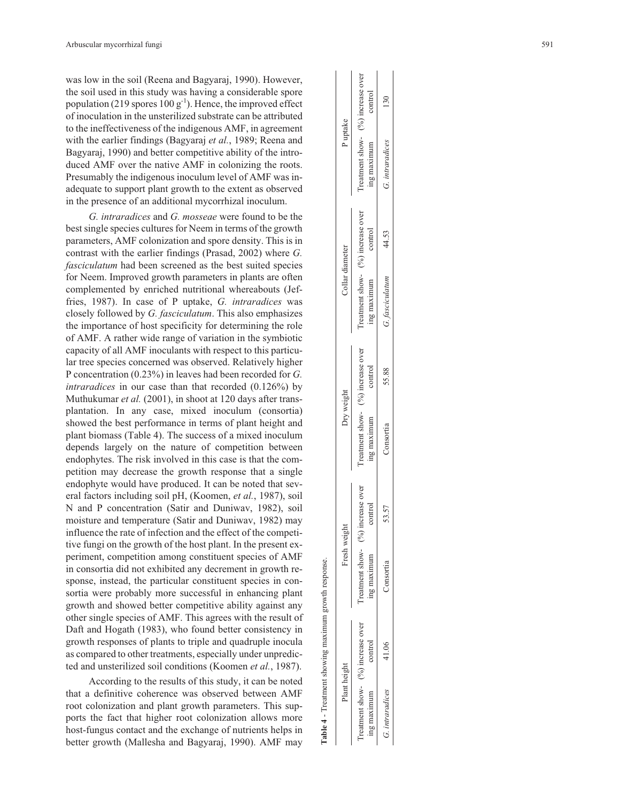was low in the soil (Reena and Bagyaraj, 1990). However, the soil used in this study was having a considerable spore population (219 spores  $100 g^{-1}$ ). Hence, the improved effect of inoculation in the unsterilized substrate can be attributed to the ineffectiveness of the indigenous AMF, in agreement with the earlier findings (Bagyaraj *et al.*, 1989; Reena and Bagyaraj, 1990) and better competitive ability of the intro duced AMF over the native AMF in colonizing the roots. Presumably the indigenous inoculum level of AMF was in adequate to support plant growth to the extent as observed in the presence of an additional mycorrhizal inoculum.

*G. intraradices* and *G. mosseae* were found to be the best single species cultures for Neem in terms of the growth parameters, AMF colonization and spore density. This is in contrast with the earlier findings (Prasad, 2002) where *G. fasciculatum* had been screened as the best suited species for Neem. Improved growth parameters in plants are often complemented by enriched nutritional whereabouts (Jeffries, 1987). In case of P uptake, *G. intraradices* was closely followed by *G. fasciculatum*. This also emphasizes the importance of host specificity for determining the role of AMF. A rather wide range of variation in the symbiotic capacity of all AMF inoculants with respect to this particular tree species concerned was observed. Relatively higher P concentration (0.23%) in leaves had been recorded for *G. intraradices* in our case than that recorded (0.126%) by Muthukumar *et al.* (2001), in shoot at 120 days after transplantation. In any case, mixed inoculum (consortia) showed the best performance in terms of plant height and plant biomass (Table 4). The success of a mixed inoculum depends largely on the nature of competition between endophytes. The risk involved in this case is that the competition may decrease the growth response that a single endophyte would have produced. It can be noted that sev eral factors including soil pH, (Koomen, *et al.*, 1987), soil N and P concentration (Satir and Duniwav, 1982), soil moisture and temperature (Satir and Duniwav, 1982) may influence the rate of infection and the effect of the competi tive fungi on the growth of the host plant. In the present ex periment, competition among constituent species of AMF in consortia did not exhibited any decrement in growth response, instead, the particular constituent species in consortia were probably more successful in enhancing plant growth and showed better competitive ability against any other single species of AMF. This agrees with the result of Daft and Hogath (1983), who found better consistency in growth responses of plants to triple and quadruple inocula as compared to other treatments, especially under unpredic ted and unsterilized soil conditions (Koomen *et al.*, 1987).

According to the results of this study, it can be noted that a definitive coherence was observed between AMF root colonization and plant growth parameters. This supports the fact that higher root colonization allows more host-fungus contact and the exchange of nutrients helps in better growth (Mallesha and Bagyaraj, 1990). AMF may

|                 | Table 4 - Treatment showing maximum growth response. |                                        |                          |             |                                                  |                                                      |         |                                                     |         |
|-----------------|------------------------------------------------------|----------------------------------------|--------------------------|-------------|--------------------------------------------------|------------------------------------------------------|---------|-----------------------------------------------------|---------|
|                 | Plant height                                         |                                        | Fresh weight             | Dry weight  |                                                  | Collar diameter                                      |         | P uptake                                            |         |
| ing maximum     | reatment show- $(9/0)$ increase over<br>control      | Treatment show- $(9/0)$<br>ing maximum | increase over<br>control | ing maximum | Treatment show- $(9/6)$ increase over<br>control | Treatment show- $(9/0)$ increase over<br>ing maximum | control | Treatment show- $(96)$ increase over<br>ing maximum | control |
| G. intraradices | 41.06                                                | Consortia                              | 53.57                    | Consortia   | 55.88                                            | G. fasciculatum                                      | 44.53   | G. intraradices                                     | 130     |

Table 4 - Treatment showing maximum growth response

 $\overline{\phantom{a}}$ 

| ස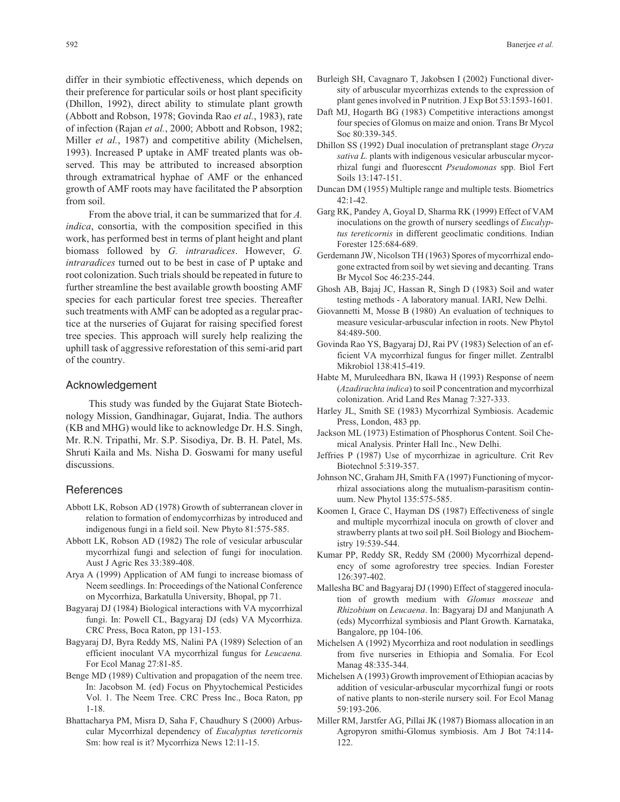differ in their symbiotic effectiveness, which depends on their preference for particular soils or host plant specificity (Dhillon, 1992), direct ability to stimulate plant growth (Abbott and Robson, 1978; Govinda Rao *et al.*, 1983), rate of infection (Rajan *et al.*, 2000; Abbott and Robson, 1982; Miller *et al.*, 1987) and competitive ability (Michelsen, 1993). Increased P uptake in AMF treated plants was observed. This may be attributed to increased absorption through extramatrical hyphae of AMF or the enhanced growth of AMF roots may have facilitated the P absorption from soil.

From the above trial, it can be summarized that for *A. indica*, consortia, with the composition specified in this work, has performed best in terms of plant height and plant biomass followed by *G. intraradices*. However, *G. intraradices* turned out to be best in case of P uptake and root colonization. Such trials should be repeated in future to further streamline the best available growth boosting AMF species for each particular forest tree species. Thereafter such treatments with AMF can be adopted as a regular practice at the nurseries of Gujarat for raising specified forest tree species. This approach will surely help realizing the uphill task of aggressive reforestation of this semi-arid part of the country.

# Acknowledgement

This study was funded by the Gujarat State Biotechnology Mission, Gandhinagar, Gujarat, India. The authors (KB and MHG) would like to acknowledge Dr. H.S. Singh, Mr. R.N. Tripathi, Mr. S.P. Sisodiya, Dr. B. H. Patel, Ms. Shruti Kaila and Ms. Nisha D. Goswami for many useful discussions.

# **References**

- Abbott LK, Robson AD (1978) Growth of subterranean clover in relation to formation of endomycorrhizas by introduced and indigenous fungi in a field soil. New Phyto 81:575-585.
- Abbott LK, Robson AD (1982) The role of vesicular arbuscular mycorrhizal fungi and selection of fungi for inoculation. Aust J Agric Res 33:389-408.
- Arya A (1999) Application of AM fungi to increase biomass of Neem seedlings. In: Proceedings of the National Conference on Mycorrhiza, Barkatulla University, Bhopal, pp 71.
- Bagyaraj DJ (1984) Biological interactions with VA mycorrhizal fungi. In: Powell CL, Bagyaraj DJ (eds) VA Mycorrhiza. CRC Press, Boca Raton, pp 131-153.
- Bagyaraj DJ, Byra Reddy MS, Nalini PA (1989) Selection of an efficient inoculant VA mycorrhizal fungus for *Leucaena.* For Ecol Manag 27:81-85.
- Benge MD (1989) Cultivation and propagation of the neem tree. In: Jacobson M. (ed) Focus on Phyytochemical Pesticides Vol. 1. The Neem Tree. CRC Press Inc., Boca Raton, pp 1-18.
- Bhattacharya PM, Misra D, Saha F, Chaudhury S (2000) Arbuscular Mycorrhizal dependency of *Eucalyptus tereticornis* Sm: how real is it? Mycorrhiza News 12:11-15.
- Burleigh SH, Cavagnaro T, Jakobsen I (2002) Functional diversity of arbuscular mycorrhizas extends to the expression of plant genes involved in P nutrition. J Exp Bot 53:1593-1601.
- Daft MJ, Hogarth BG (1983) Competitive interactions amongst four species of Glomus on maize and onion. Trans Br Mycol Soc 80:339-345.
- Dhillon SS (1992) Dual inoculation of pretransplant stage *Oryza sativa L.* plants with indigenous vesicular arbuscular mycorrhizal fungi and fluoresccnt *Pseudomonas* spp. Biol Fert Soils 13:147-151.
- Duncan DM (1955) Multiple range and multiple tests. Biometrics 42:1-42.
- Garg RK, Pandey A, Goyal D, Sharma RK (1999) Effect of VAM inoculations on the growth of nursery seedlings of *Eucalyptus tereticornis* in different geoclimatic conditions. Indian Forester 125:684-689.
- Gerdemann JW, Nicolson TH (1963) Spores of mycorrhizal endogone extracted from soil by wet sieving and decanting*.* Trans Br Mycol Soc 46:235-244.
- Ghosh AB, Bajaj JC, Hassan R, Singh D (1983) Soil and water testing methods - A laboratory manual. IARI, New Delhi.
- Giovannetti M, Mosse B (1980) An evaluation of techniques to measure vesicular-arbuscular infection in roots. New Phytol 84:489-500.
- Govinda Rao YS, Bagyaraj DJ, Rai PV (1983) Selection of an efficient VA mycorrhizal fungus for finger millet. Zentralbl Mikrobiol 138:415-419.
- Habte M, Muruleedhara BN, Ikawa H (1993) Response of neem (*Azadirachta indica*) to soil P concentration and mycorrhizal colonization. Arid Land Res Manag 7:327-333.
- Harley JL, Smith SE (1983) Mycorrhizal Symbiosis. Academic Press, London, 483 pp.
- Jackson ML (1973) Estimation of Phosphorus Content. Soil Chemical Analysis. Printer Hall Inc., New Delhi.
- Jeffries P (1987) Use of mycorrhizae in agriculture. Crit Rev Biotechnol 5:319-357.
- Johnson NC, Graham JH, Smith FA (1997) Functioning of mycorrhizal associations along the mutualism-parasitism continuum. New Phytol 135:575-585.
- Koomen I, Grace C, Hayman DS (1987) Effectiveness of single and multiple mycorrhizal inocula on growth of clover and strawberry plants at two soil pH. Soil Biology and Biochemistry 19:539-544.
- Kumar PP, Reddy SR, Reddy SM (2000) Mycorrhizal dependency of some agroforestry tree species. Indian Forester 126:397-402.
- Mallesha BC and Bagyaraj DJ (1990) Effect of staggered inoculation of growth medium with *Glomus mosseae* and *Rhizobium* on *Leucaena*. In: Bagyaraj DJ and Manjunath A (eds) Mycorrhizal symbiosis and Plant Growth. Karnataka, Bangalore, pp 104-106.
- Michelsen A (1992) Mycorrhiza and root nodulation in seedlings from five nurseries in Ethiopia and Somalia. For Ecol Manag 48:335-344.
- Michelsen A (1993) Growth improvement of Ethiopian acacias by addition of vesicular-arbuscular mycorrhizal fungi or roots of native plants to non-sterile nursery soil. For Ecol Manag 59:193-206.
- Miller RM, Jarstfer AG, Pillai JK (1987) Biomass allocation in an Agropyron smithi-Glomus symbiosis. Am J Bot 74:114- 122.